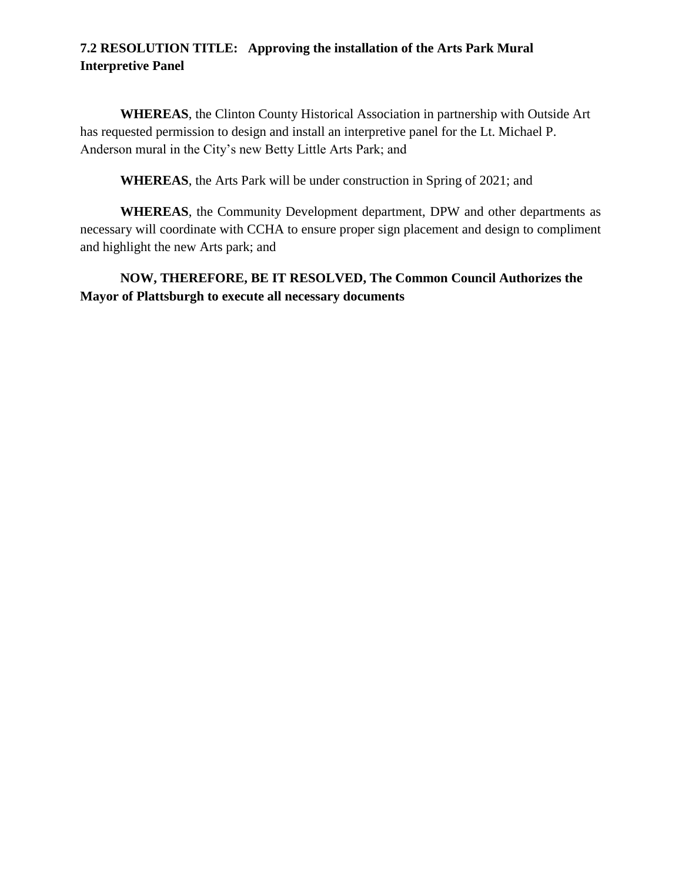## **7.2 RESOLUTION TITLE: Approving the installation of the Arts Park Mural Interpretive Panel**

**WHEREAS**, the Clinton County Historical Association in partnership with Outside Art has requested permission to design and install an interpretive panel for the Lt. Michael P. Anderson mural in the City's new Betty Little Arts Park; and

**WHEREAS**, the Arts Park will be under construction in Spring of 2021; and

**WHEREAS**, the Community Development department, DPW and other departments as necessary will coordinate with CCHA to ensure proper sign placement and design to compliment and highlight the new Arts park; and

**NOW, THEREFORE, BE IT RESOLVED, The Common Council Authorizes the Mayor of Plattsburgh to execute all necessary documents**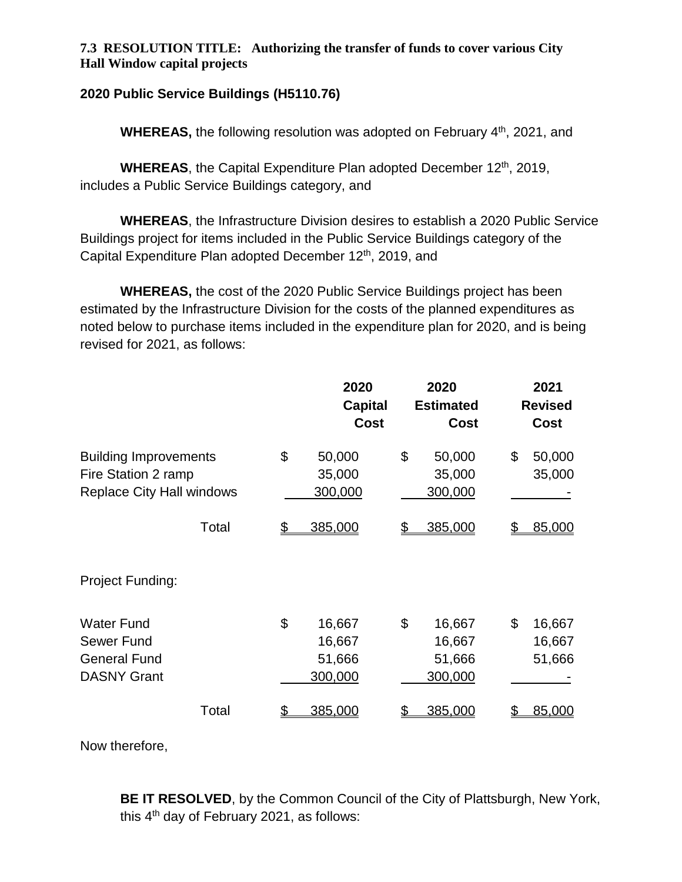#### **7.3 RESOLUTION TITLE: Authorizing the transfer of funds to cover various City Hall Window capital projects**

#### **2020 Public Service Buildings (H5110.76)**

**WHEREAS, the following resolution was adopted on February 4<sup>th</sup>, 2021, and** 

WHEREAS, the Capital Expenditure Plan adopted December 12<sup>th</sup>, 2019, includes a Public Service Buildings category, and

**WHEREAS**, the Infrastructure Division desires to establish a 2020 Public Service Buildings project for items included in the Public Service Buildings category of the Capital Expenditure Plan adopted December 12<sup>th</sup>, 2019, and

**WHEREAS,** the cost of the 2020 Public Service Buildings project has been estimated by the Infrastructure Division for the costs of the planned expenditures as noted below to purchase items included in the expenditure plan for 2020, and is being revised for 2021, as follows:

|                                                                                         | 2020<br><b>Capital</b><br><b>Cost</b>       | 2020<br><b>Estimated</b><br><b>Cost</b>     | 2021<br><b>Revised</b><br><b>Cost</b> |
|-----------------------------------------------------------------------------------------|---------------------------------------------|---------------------------------------------|---------------------------------------|
| <b>Building Improvements</b><br>Fire Station 2 ramp<br><b>Replace City Hall windows</b> | \$<br>50,000<br>35,000<br>300,000           | \$<br>50,000<br>35,000<br>300,000           | \$<br>50,000<br>35,000                |
| Total                                                                                   | \$<br>385,000                               | 385,000<br>S                                | 85,000                                |
| Project Funding:                                                                        |                                             |                                             |                                       |
| <b>Water Fund</b><br>Sewer Fund<br><b>General Fund</b><br><b>DASNY Grant</b>            | \$<br>16,667<br>16,667<br>51,666<br>300,000 | \$<br>16,667<br>16,667<br>51,666<br>300,000 | \$<br>16,667<br>16,667<br>51,666      |
| Total                                                                                   | 385,000                                     | 385,000                                     | 85,000                                |

Now therefore,

**BE IT RESOLVED**, by the Common Council of the City of Plattsburgh, New York, this 4<sup>th</sup> day of February 2021, as follows: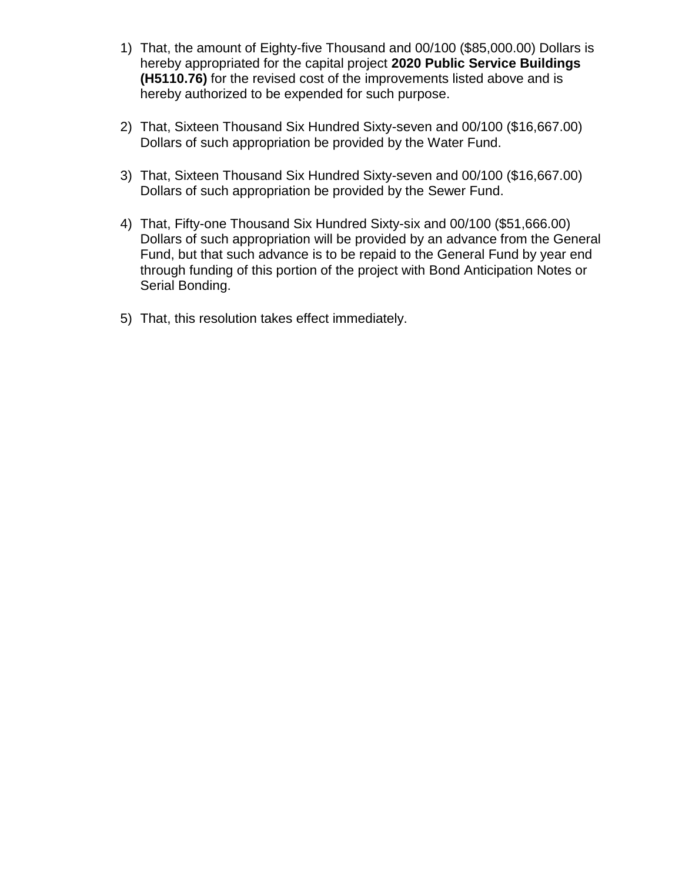- 1) That, the amount of Eighty-five Thousand and 00/100 (\$85,000.00) Dollars is hereby appropriated for the capital project **2020 Public Service Buildings (H5110.76)** for the revised cost of the improvements listed above and is hereby authorized to be expended for such purpose.
- 2) That, Sixteen Thousand Six Hundred Sixty-seven and 00/100 (\$16,667.00) Dollars of such appropriation be provided by the Water Fund.
- 3) That, Sixteen Thousand Six Hundred Sixty-seven and 00/100 (\$16,667.00) Dollars of such appropriation be provided by the Sewer Fund.
- 4) That, Fifty-one Thousand Six Hundred Sixty-six and 00/100 (\$51,666.00) Dollars of such appropriation will be provided by an advance from the General Fund, but that such advance is to be repaid to the General Fund by year end through funding of this portion of the project with Bond Anticipation Notes or Serial Bonding.
- 5) That, this resolution takes effect immediately.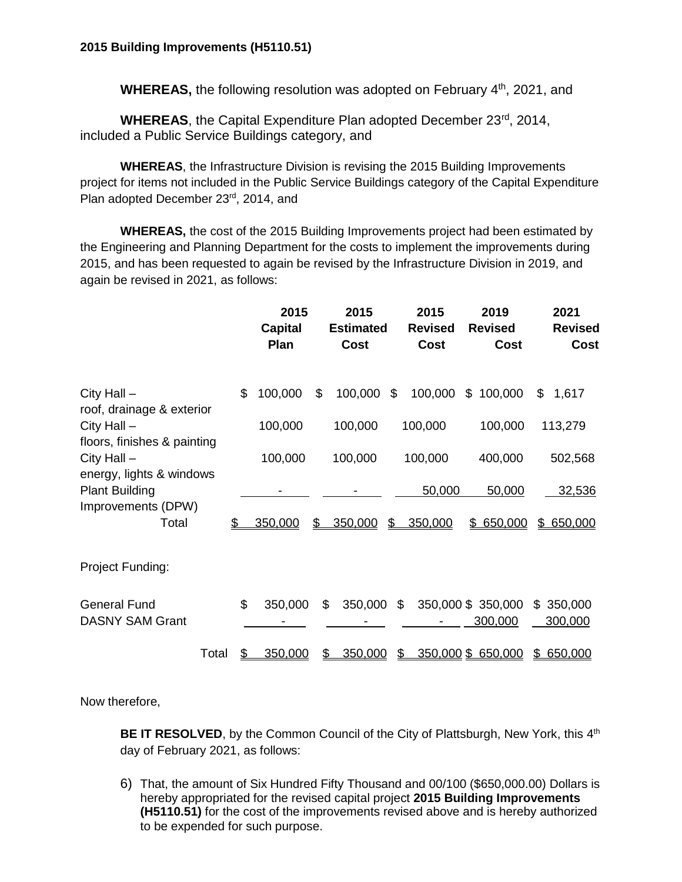**WHEREAS,** the following resolution was adopted on February 4<sup>th</sup>, 2021, and

WHEREAS, the Capital Expenditure Plan adopted December 23<sup>rd</sup>, 2014, included a Public Service Buildings category, and

**WHEREAS**, the Infrastructure Division is revising the 2015 Building Improvements project for items not included in the Public Service Buildings category of the Capital Expenditure Plan adopted December 23rd, 2014, and

**WHEREAS,** the cost of the 2015 Building Improvements project had been estimated by the Engineering and Planning Department for the costs to implement the improvements during 2015, and has been requested to again be revised by the Infrastructure Division in 2019, and again be revised in 2021, as follows:

|                                                                          |     | 2015<br><b>Capital</b><br>Plan | 2015<br><b>Estimated</b><br><b>Cost</b> | 2015<br><b>Revised</b><br><b>Cost</b> | 2019<br><b>Revised</b><br><b>Cost</b> | 2021<br><b>Revised</b><br><b>Cost</b> |
|--------------------------------------------------------------------------|-----|--------------------------------|-----------------------------------------|---------------------------------------|---------------------------------------|---------------------------------------|
| City Hall $-$<br>roof, drainage & exterior                               | \$  | 100,000                        | \$<br>100,000 \$                        | 100,000                               | \$100,000                             | \$<br>1,617                           |
| City Hall $-$                                                            |     | 100,000                        | 100,000                                 | 100,000                               | 100,000                               | 113,279                               |
| floors, finishes & painting<br>City Hall $-$<br>energy, lights & windows |     | 100,000                        | 100,000                                 | 100,000                               | 400,000                               | 502,568                               |
| <b>Plant Building</b>                                                    |     |                                |                                         | 50,000                                | 50,000                                | 32,536                                |
| Improvements (DPW)<br>Total                                              | \$. | 350,000                        | \$<br>350,000                           | \$<br>350,000                         | \$650,000                             | \$ 650,000                            |
| Project Funding:                                                         |     |                                |                                         |                                       |                                       |                                       |
| <b>General Fund</b><br><b>DASNY SAM Grant</b>                            | \$  | 350,000                        | \$<br>350,000                           | \$                                    | 350,000 \$ 350,000<br>300,000         | \$<br>350,000<br>300,000              |
| Total                                                                    |     | 350,000                        | 350,000                                 | \$                                    | 350,000 \$ 650,000                    | 650,000<br>\$                         |

Now therefore,

BE IT RESOLVED, by the Common Council of the City of Plattsburgh, New York, this 4<sup>th</sup> day of February 2021, as follows:

6) That, the amount of Six Hundred Fifty Thousand and 00/100 (\$650,000.00) Dollars is hereby appropriated for the revised capital project **2015 Building Improvements (H5110.51)** for the cost of the improvements revised above and is hereby authorized to be expended for such purpose.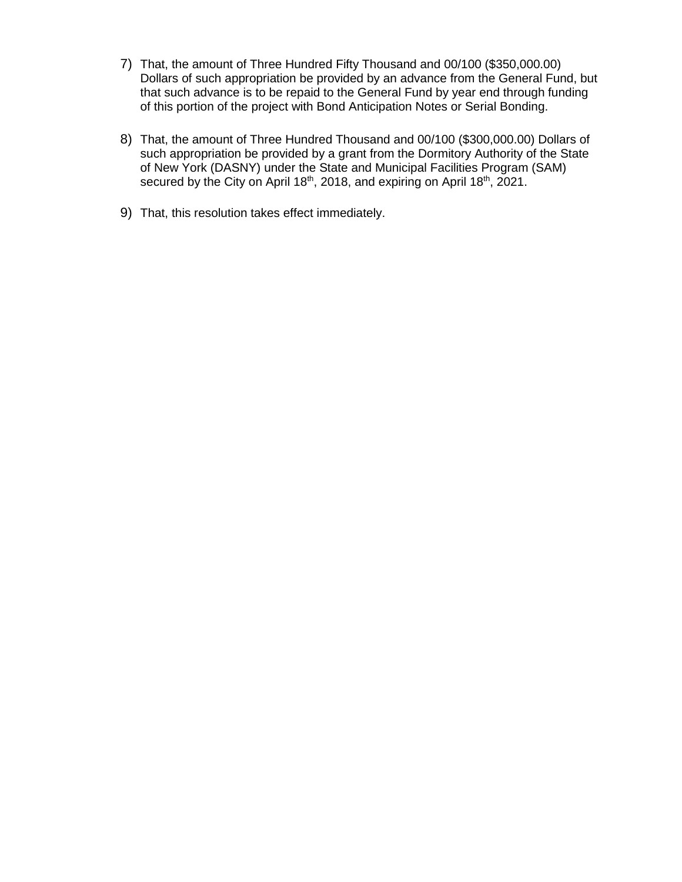- 7) That, the amount of Three Hundred Fifty Thousand and 00/100 (\$350,000.00) Dollars of such appropriation be provided by an advance from the General Fund, but that such advance is to be repaid to the General Fund by year end through funding of this portion of the project with Bond Anticipation Notes or Serial Bonding.
- 8) That, the amount of Three Hundred Thousand and 00/100 (\$300,000.00) Dollars of such appropriation be provided by a grant from the Dormitory Authority of the State of New York (DASNY) under the State and Municipal Facilities Program (SAM) secured by the City on April 18<sup>th</sup>, 2018, and expiring on April 18<sup>th</sup>, 2021.
- 9) That, this resolution takes effect immediately.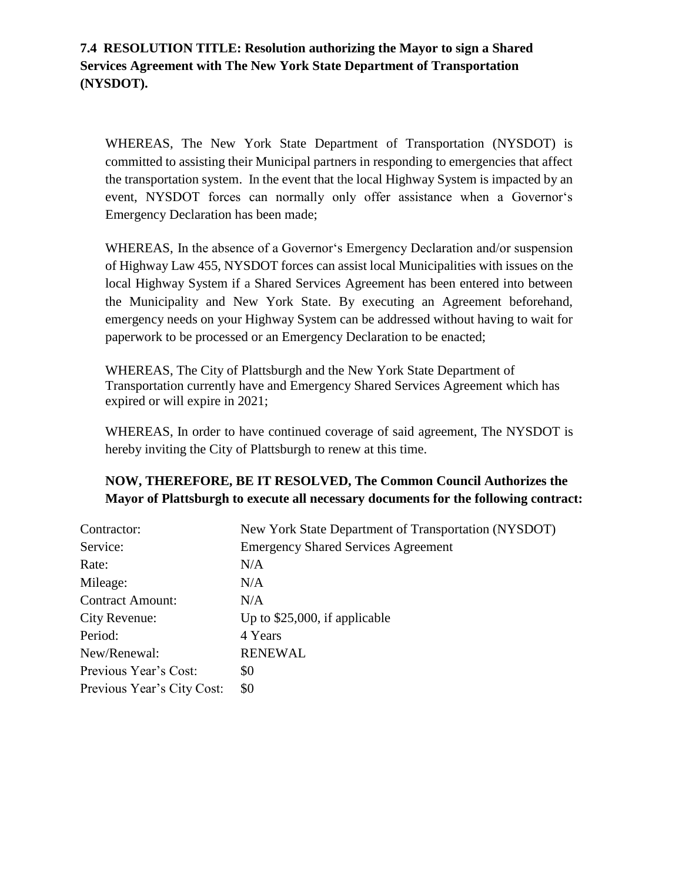#### **7.4 RESOLUTION TITLE: Resolution authorizing the Mayor to sign a Shared Services Agreement with The New York State Department of Transportation (NYSDOT).**

WHEREAS, The New York State Department of Transportation (NYSDOT) is committed to assisting their Municipal partners in responding to emergencies that affect the transportation system. In the event that the local Highway System is impacted by an event, NYSDOT forces can normally only offer assistance when a Governor's Emergency Declaration has been made;

WHEREAS, In the absence of a Governor's Emergency Declaration and/or suspension of Highway Law 455, NYSDOT forces can assist local Municipalities with issues on the local Highway System if a Shared Services Agreement has been entered into between the Municipality and New York State. By executing an Agreement beforehand, emergency needs on your Highway System can be addressed without having to wait for paperwork to be processed or an Emergency Declaration to be enacted;

WHEREAS, The City of Plattsburgh and the New York State Department of Transportation currently have and Emergency Shared Services Agreement which has expired or will expire in 2021;

WHEREAS, In order to have continued coverage of said agreement, The NYSDOT is hereby inviting the City of Plattsburgh to renew at this time.

#### **NOW, THEREFORE, BE IT RESOLVED, The Common Council Authorizes the Mayor of Plattsburgh to execute all necessary documents for the following contract:**

| Contractor:                | New York State Department of Transportation (NYSDOT) |
|----------------------------|------------------------------------------------------|
| Service:                   | <b>Emergency Shared Services Agreement</b>           |
| Rate:                      | N/A                                                  |
| Mileage:                   | N/A                                                  |
| <b>Contract Amount:</b>    | N/A                                                  |
| City Revenue:              | Up to $$25,000$ , if applicable                      |
| Period:                    | 4 Years                                              |
| New/Renewal:               | <b>RENEWAL</b>                                       |
| Previous Year's Cost:      | \$0                                                  |
| Previous Year's City Cost: | \$0                                                  |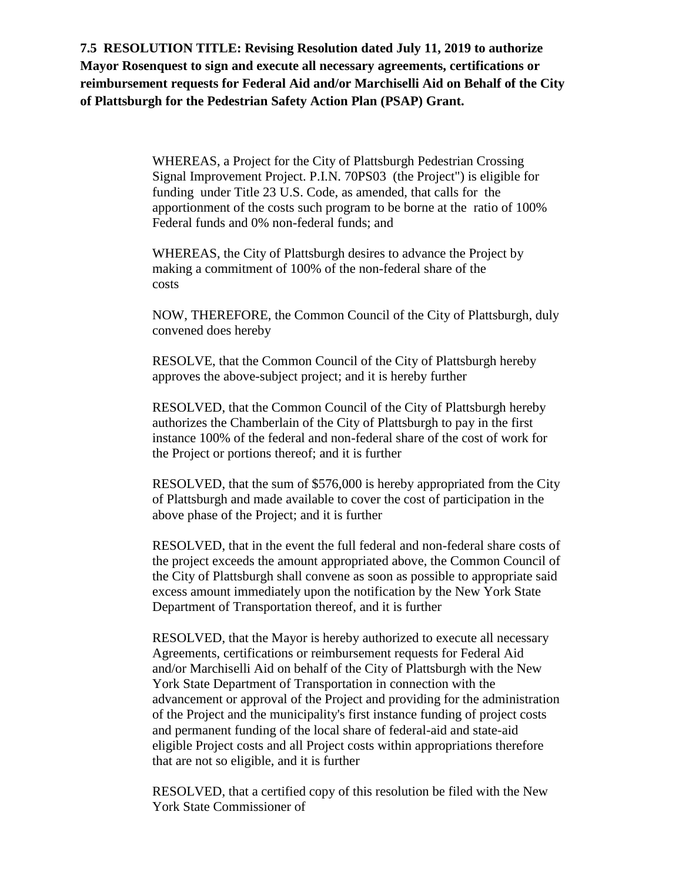**7.5 RESOLUTION TITLE: Revising Resolution dated July 11, 2019 to authorize Mayor Rosenquest to sign and execute all necessary agreements, certifications or reimbursement requests for Federal Aid and/or Marchiselli Aid on Behalf of the City of Plattsburgh for the Pedestrian Safety Action Plan (PSAP) Grant.** 

> WHEREAS, a Project for the City of Plattsburgh Pedestrian Crossing Signal Improvement Project. P.I.N. 70PS03 (the Project") is eligible for funding under Title 23 U.S. Code, as amended, that calls for the apportionment of the costs such program to be borne at the ratio of 100% Federal funds and 0% non-federal funds; and

WHEREAS, the City of Plattsburgh desires to advance the Project by making a commitment of 100% of the non-federal share of the costs

NOW, THEREFORE, the Common Council of the City of Plattsburgh, duly convened does hereby

RESOLVE, that the Common Council of the City of Plattsburgh hereby approves the above-subject project; and it is hereby further

RESOLVED, that the Common Council of the City of Plattsburgh hereby authorizes the Chamberlain of the City of Plattsburgh to pay in the first instance 100% of the federal and non-federal share of the cost of work for the Project or portions thereof; and it is further

RESOLVED, that the sum of \$576,000 is hereby appropriated from the City of Plattsburgh and made available to cover the cost of participation in the above phase of the Project; and it is further

RESOLVED, that in the event the full federal and non-federal share costs of the project exceeds the amount appropriated above, the Common Council of the City of Plattsburgh shall convene as soon as possible to appropriate said excess amount immediately upon the notification by the New York State Department of Transportation thereof, and it is further

RESOLVED, that the Mayor is hereby authorized to execute all necessary Agreements, certifications or reimbursement requests for Federal Aid and/or Marchiselli Aid on behalf of the City of Plattsburgh with the New York State Department of Transportation in connection with the advancement or approval of the Project and providing for the administration of the Project and the municipality's first instance funding of project costs and permanent funding of the local share of federal-aid and state-aid eligible Project costs and all Project costs within appropriations therefore that are not so eligible, and it is further

RESOLVED, that a certified copy of this resolution be filed with the New York State Commissioner of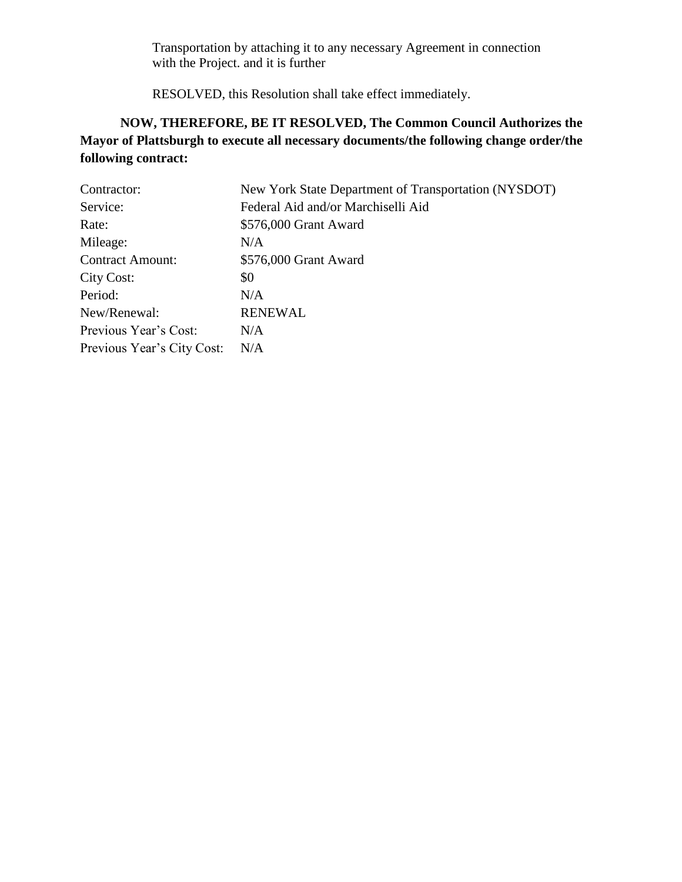Transportation by attaching it to any necessary Agreement in connection with the Project. and it is further

RESOLVED, this Resolution shall take effect immediately.

# **NOW, THEREFORE, BE IT RESOLVED, The Common Council Authorizes the Mayor of Plattsburgh to execute all necessary documents/the following change order/the following contract:**

| Contractor:                | New York State Department of Transportation (NYSDOT) |
|----------------------------|------------------------------------------------------|
| Service:                   | Federal Aid and/or Marchiselli Aid                   |
| Rate:                      | \$576,000 Grant Award                                |
| Mileage:                   | N/A                                                  |
| <b>Contract Amount:</b>    | \$576,000 Grant Award                                |
| City Cost:                 | \$0                                                  |
| Period:                    | N/A                                                  |
| New/Renewal:               | <b>RENEWAL</b>                                       |
| Previous Year's Cost:      | N/A                                                  |
| Previous Year's City Cost: | N/A                                                  |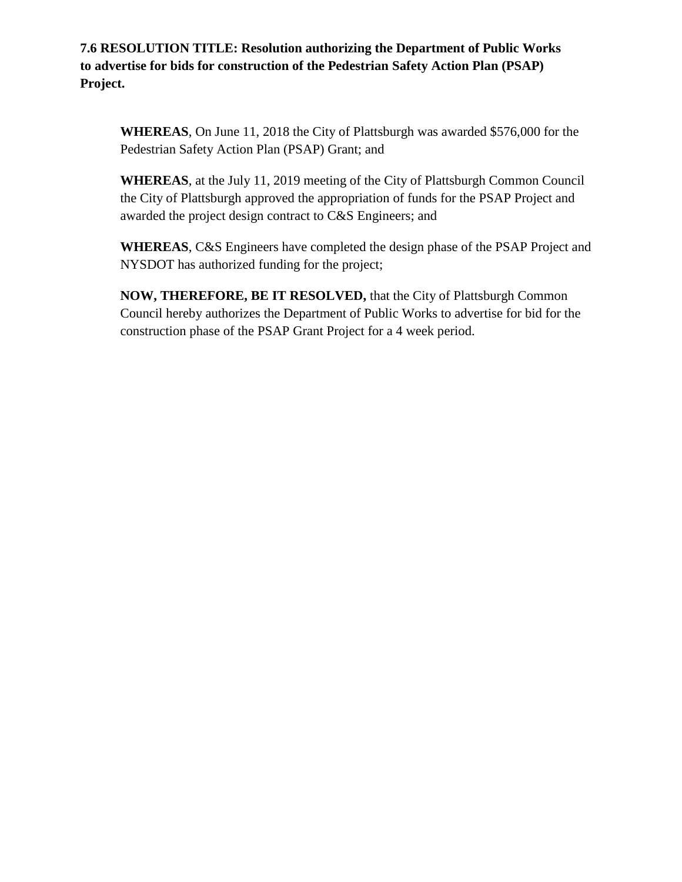**7.6 RESOLUTION TITLE: Resolution authorizing the Department of Public Works to advertise for bids for construction of the Pedestrian Safety Action Plan (PSAP) Project.**

**WHEREAS**, On June 11, 2018 the City of Plattsburgh was awarded \$576,000 for the Pedestrian Safety Action Plan (PSAP) Grant; and

**WHEREAS**, at the July 11, 2019 meeting of the City of Plattsburgh Common Council the City of Plattsburgh approved the appropriation of funds for the PSAP Project and awarded the project design contract to C&S Engineers; and

**WHEREAS**, C&S Engineers have completed the design phase of the PSAP Project and NYSDOT has authorized funding for the project;

**NOW, THEREFORE, BE IT RESOLVED,** that the City of Plattsburgh Common Council hereby authorizes the Department of Public Works to advertise for bid for the construction phase of the PSAP Grant Project for a 4 week period.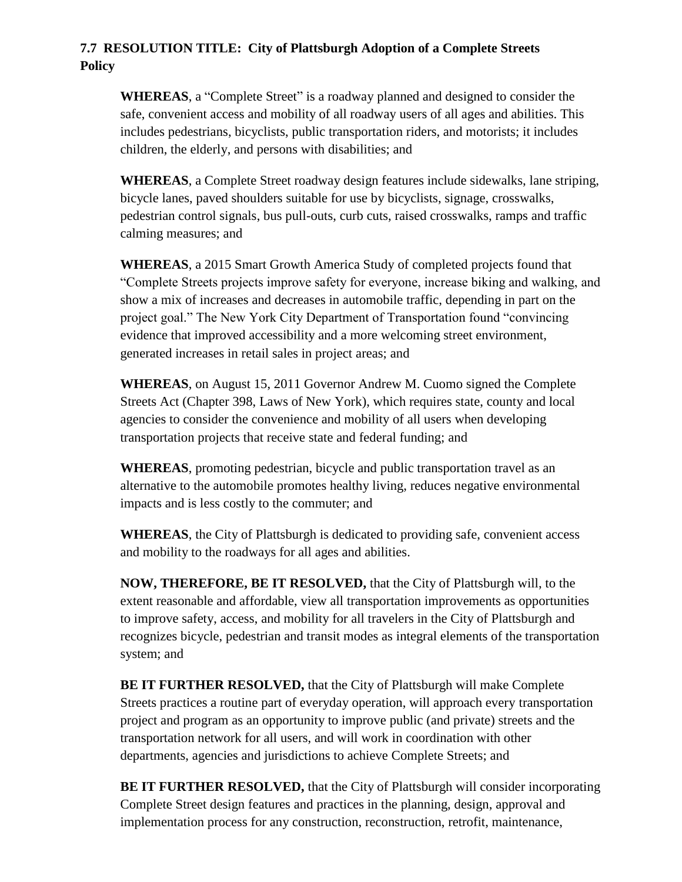#### **7.7 RESOLUTION TITLE: City of Plattsburgh Adoption of a Complete Streets Policy**

**WHEREAS**, a "Complete Street" is a roadway planned and designed to consider the safe, convenient access and mobility of all roadway users of all ages and abilities. This includes pedestrians, bicyclists, public transportation riders, and motorists; it includes children, the elderly, and persons with disabilities; and

**WHEREAS**, a Complete Street roadway design features include sidewalks, lane striping, bicycle lanes, paved shoulders suitable for use by bicyclists, signage, crosswalks, pedestrian control signals, bus pull-outs, curb cuts, raised crosswalks, ramps and traffic calming measures; and

**WHEREAS**, a 2015 Smart Growth America Study of completed projects found that "Complete Streets projects improve safety for everyone, increase biking and walking, and show a mix of increases and decreases in automobile traffic, depending in part on the project goal." The New York City Department of Transportation found "convincing evidence that improved accessibility and a more welcoming street environment, generated increases in retail sales in project areas; and

**WHEREAS**, on August 15, 2011 Governor Andrew M. Cuomo signed the Complete Streets Act (Chapter 398, Laws of New York), which requires state, county and local agencies to consider the convenience and mobility of all users when developing transportation projects that receive state and federal funding; and

**WHEREAS**, promoting pedestrian, bicycle and public transportation travel as an alternative to the automobile promotes healthy living, reduces negative environmental impacts and is less costly to the commuter; and

**WHEREAS**, the City of Plattsburgh is dedicated to providing safe, convenient access and mobility to the roadways for all ages and abilities.

**NOW, THEREFORE, BE IT RESOLVED,** that the City of Plattsburgh will, to the extent reasonable and affordable, view all transportation improvements as opportunities to improve safety, access, and mobility for all travelers in the City of Plattsburgh and recognizes bicycle, pedestrian and transit modes as integral elements of the transportation system; and

**BE IT FURTHER RESOLVED,** that the City of Plattsburgh will make Complete Streets practices a routine part of everyday operation, will approach every transportation project and program as an opportunity to improve public (and private) streets and the transportation network for all users, and will work in coordination with other departments, agencies and jurisdictions to achieve Complete Streets; and

**BE IT FURTHER RESOLVED,** that the City of Plattsburgh will consider incorporating Complete Street design features and practices in the planning, design, approval and implementation process for any construction, reconstruction, retrofit, maintenance,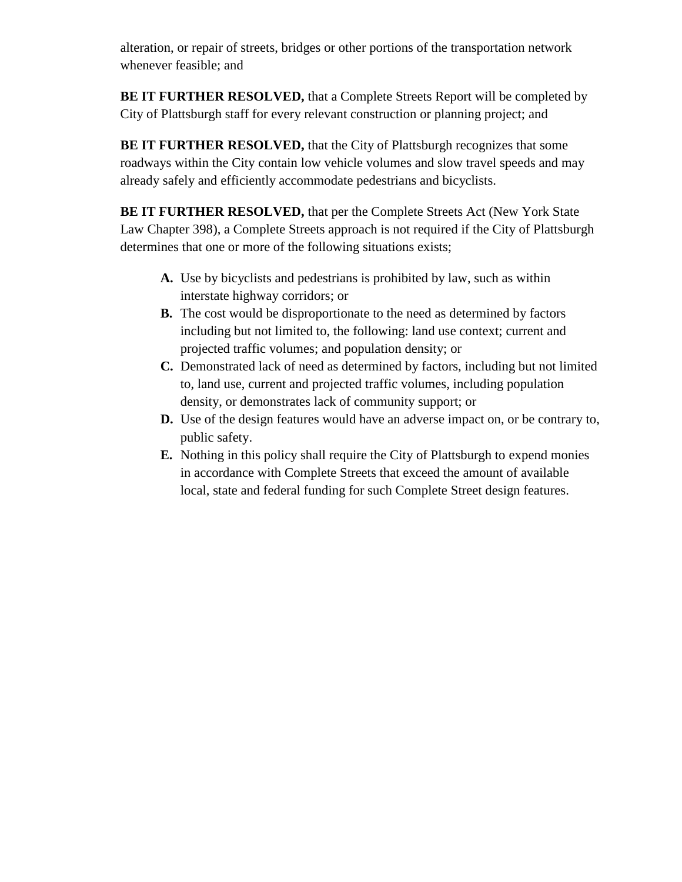alteration, or repair of streets, bridges or other portions of the transportation network whenever feasible; and

**BE IT FURTHER RESOLVED,** that a Complete Streets Report will be completed by City of Plattsburgh staff for every relevant construction or planning project; and

**BE IT FURTHER RESOLVED, that the City of Plattsburgh recognizes that some** roadways within the City contain low vehicle volumes and slow travel speeds and may already safely and efficiently accommodate pedestrians and bicyclists.

**BE IT FURTHER RESOLVED,** that per the Complete Streets Act (New York State Law Chapter 398), a Complete Streets approach is not required if the City of Plattsburgh determines that one or more of the following situations exists;

- **A.** Use by bicyclists and pedestrians is prohibited by law, such as within interstate highway corridors; or
- **B.** The cost would be disproportionate to the need as determined by factors including but not limited to, the following: land use context; current and projected traffic volumes; and population density; or
- **C.** Demonstrated lack of need as determined by factors, including but not limited to, land use, current and projected traffic volumes, including population density, or demonstrates lack of community support; or
- **D.** Use of the design features would have an adverse impact on, or be contrary to, public safety.
- **E.** Nothing in this policy shall require the City of Plattsburgh to expend monies in accordance with Complete Streets that exceed the amount of available local, state and federal funding for such Complete Street design features.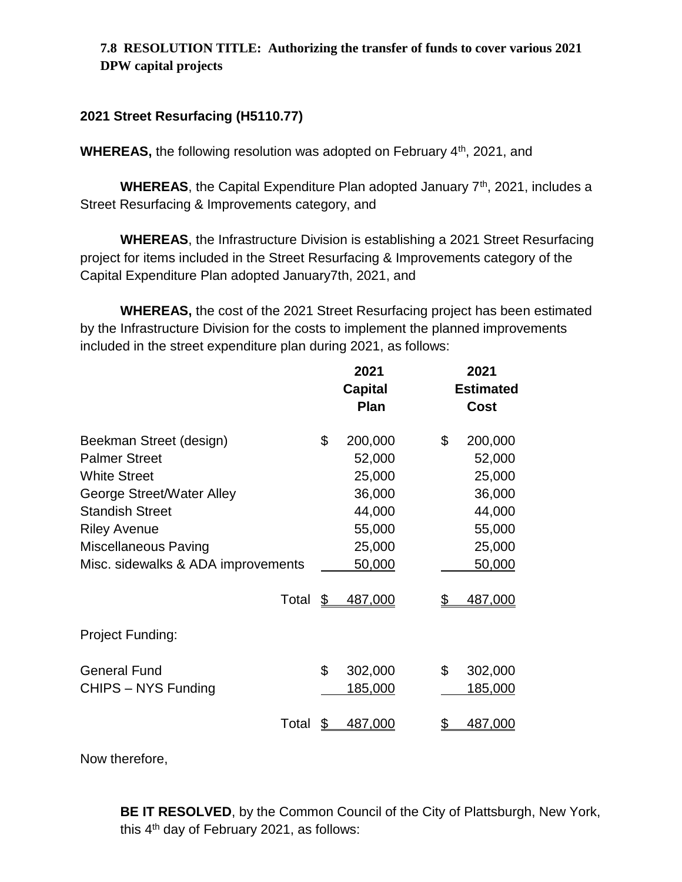## **7.8 RESOLUTION TITLE: Authorizing the transfer of funds to cover various 2021 DPW capital projects**

### **2021 Street Resurfacing (H5110.77)**

**WHEREAS, the following resolution was adopted on February 4<sup>th</sup>, 2021, and** 

**WHEREAS**, the Capital Expenditure Plan adopted January 7<sup>th</sup>, 2021, includes a Street Resurfacing & Improvements category, and

**WHEREAS**, the Infrastructure Division is establishing a 2021 Street Resurfacing project for items included in the Street Resurfacing & Improvements category of the Capital Expenditure Plan adopted January7th, 2021, and

**WHEREAS,** the cost of the 2021 Street Resurfacing project has been estimated by the Infrastructure Division for the costs to implement the planned improvements included in the street expenditure plan during 2021, as follows:

|                                                                                                                                                                                                                           | 2021<br><b>Capital</b><br>Plan                                                      | 2021<br><b>Estimated</b><br>Cost                                                    |  |
|---------------------------------------------------------------------------------------------------------------------------------------------------------------------------------------------------------------------------|-------------------------------------------------------------------------------------|-------------------------------------------------------------------------------------|--|
| Beekman Street (design)<br><b>Palmer Street</b><br><b>White Street</b><br>George Street/Water Alley<br><b>Standish Street</b><br><b>Riley Avenue</b><br><b>Miscellaneous Paving</b><br>Misc. sidewalks & ADA improvements | \$<br>200,000<br>52,000<br>25,000<br>36,000<br>44,000<br>55,000<br>25,000<br>50,000 | \$<br>200,000<br>52,000<br>25,000<br>36,000<br>44,000<br>55,000<br>25,000<br>50,000 |  |
| Total                                                                                                                                                                                                                     | \$<br>487,000                                                                       | \$<br>487,000                                                                       |  |
| Project Funding:                                                                                                                                                                                                          |                                                                                     |                                                                                     |  |
| <b>General Fund</b><br>CHIPS - NYS Funding                                                                                                                                                                                | \$<br>302,000<br><u>185,000</u>                                                     | \$<br>302,000<br><u>185,000</u>                                                     |  |
| Total                                                                                                                                                                                                                     | \$<br>487,000                                                                       | \$<br>487,000                                                                       |  |

Now therefore,

**BE IT RESOLVED**, by the Common Council of the City of Plattsburgh, New York, this 4th day of February 2021, as follows: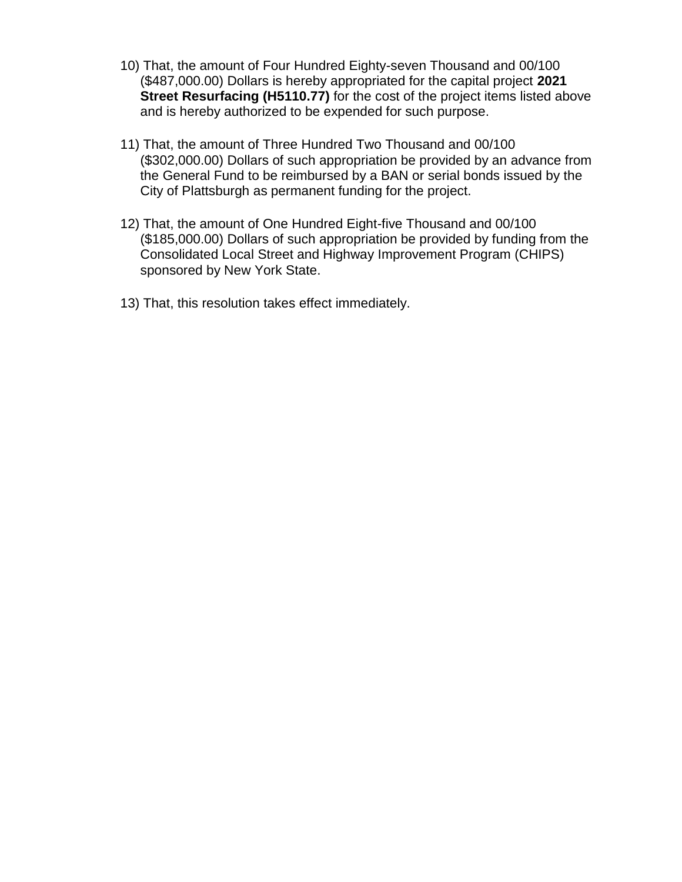- 10) That, the amount of Four Hundred Eighty-seven Thousand and 00/100 (\$487,000.00) Dollars is hereby appropriated for the capital project **2021 Street Resurfacing (H5110.77)** for the cost of the project items listed above and is hereby authorized to be expended for such purpose.
- 11) That, the amount of Three Hundred Two Thousand and 00/100 (\$302,000.00) Dollars of such appropriation be provided by an advance from the General Fund to be reimbursed by a BAN or serial bonds issued by the City of Plattsburgh as permanent funding for the project.
- 12) That, the amount of One Hundred Eight-five Thousand and 00/100 (\$185,000.00) Dollars of such appropriation be provided by funding from the Consolidated Local Street and Highway Improvement Program (CHIPS) sponsored by New York State.
- 13) That, this resolution takes effect immediately.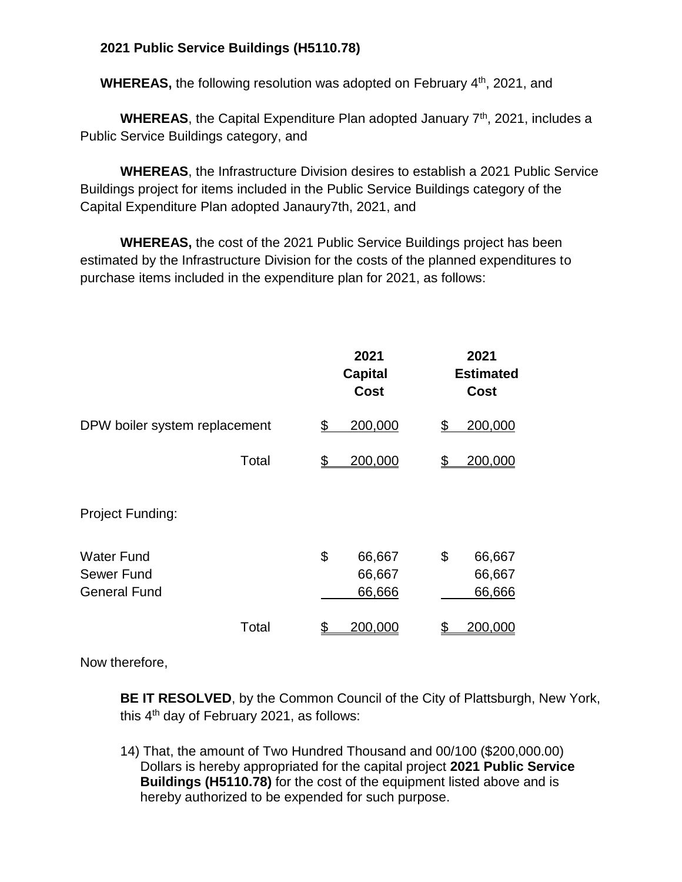## **2021 Public Service Buildings (H5110.78)**

WHEREAS, the following resolution was adopted on February 4<sup>th</sup>, 2021, and

**WHEREAS**, the Capital Expenditure Plan adopted January 7<sup>th</sup>, 2021, includes a Public Service Buildings category, and

**WHEREAS**, the Infrastructure Division desires to establish a 2021 Public Service Buildings project for items included in the Public Service Buildings category of the Capital Expenditure Plan adopted Janaury7th, 2021, and

**WHEREAS,** the cost of the 2021 Public Service Buildings project has been estimated by the Infrastructure Division for the costs of the planned expenditures to purchase items included in the expenditure plan for 2021, as follows:

|                                                        | 2021<br><b>Capital</b><br>Cost   | 2021<br><b>Estimated</b><br><b>Cost</b> |
|--------------------------------------------------------|----------------------------------|-----------------------------------------|
| DPW boiler system replacement                          | 200,000<br>\$                    | 200,000<br>\$                           |
| Total                                                  | 200,000<br>\$                    | 200,000<br><u>\$</u>                    |
| Project Funding:                                       |                                  |                                         |
| <b>Water Fund</b><br>Sewer Fund<br><b>General Fund</b> | \$<br>66,667<br>66,667<br>66,666 | \$<br>66,667<br>66,667<br>66,666        |
| Total                                                  | 200,000<br><u>\$</u>             | 200,000<br><u>\$</u>                    |

Now therefore,

**BE IT RESOLVED**, by the Common Council of the City of Plattsburgh, New York, this 4<sup>th</sup> day of February 2021, as follows:

14) That, the amount of Two Hundred Thousand and 00/100 (\$200,000.00) Dollars is hereby appropriated for the capital project **2021 Public Service Buildings (H5110.78)** for the cost of the equipment listed above and is hereby authorized to be expended for such purpose.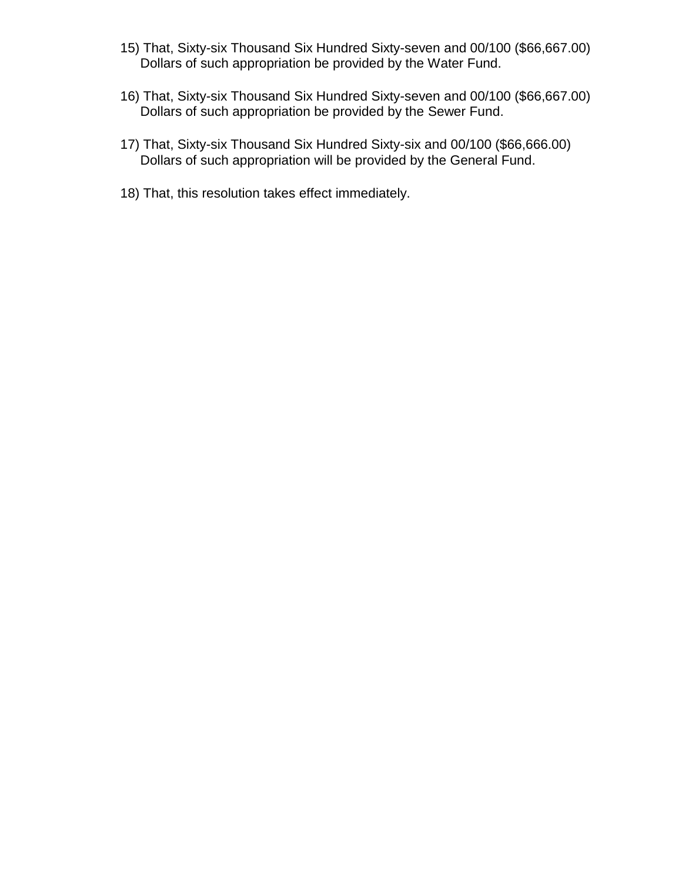- 15) That, Sixty-six Thousand Six Hundred Sixty-seven and 00/100 (\$66,667.00) Dollars of such appropriation be provided by the Water Fund.
- 16) That, Sixty-six Thousand Six Hundred Sixty-seven and 00/100 (\$66,667.00) Dollars of such appropriation be provided by the Sewer Fund.
- 17) That, Sixty-six Thousand Six Hundred Sixty-six and 00/100 (\$66,666.00) Dollars of such appropriation will be provided by the General Fund.
- 18) That, this resolution takes effect immediately.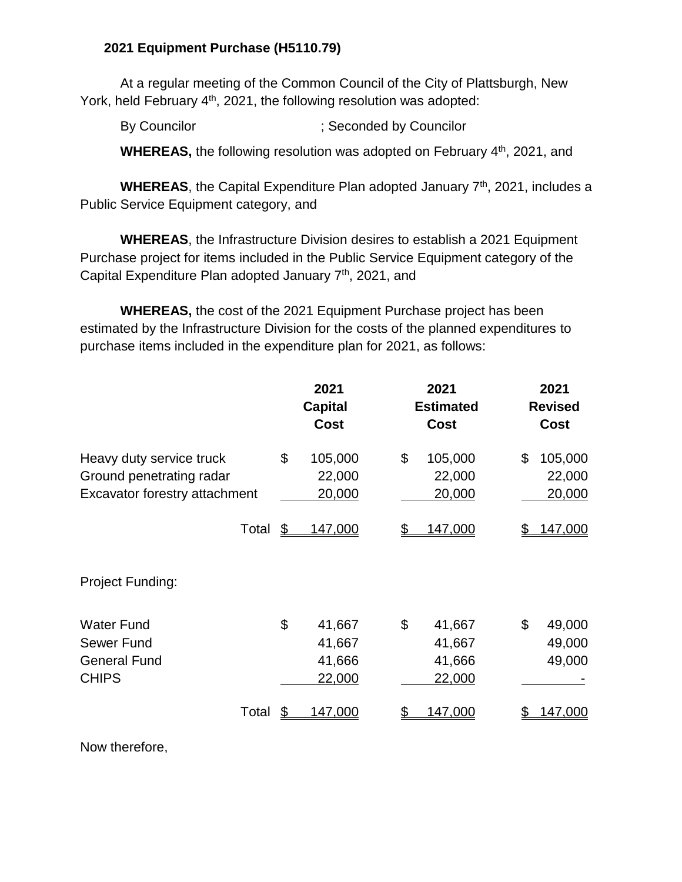### **2021 Equipment Purchase (H5110.79)**

At a regular meeting of the Common Council of the City of Plattsburgh, New York, held February 4<sup>th</sup>, 2021, the following resolution was adopted:

By Councilor (3) Seconded by Councilor

WHEREAS, the following resolution was adopted on February 4<sup>th</sup>, 2021, and

**WHEREAS**, the Capital Expenditure Plan adopted January 7<sup>th</sup>, 2021, includes a Public Service Equipment category, and

**WHEREAS**, the Infrastructure Division desires to establish a 2021 Equipment Purchase project for items included in the Public Service Equipment category of the Capital Expenditure Plan adopted January 7<sup>th</sup>, 2021, and

**WHEREAS,** the cost of the 2021 Equipment Purchase project has been estimated by the Infrastructure Division for the costs of the planned expenditures to purchase items included in the expenditure plan for 2021, as follows:

|                                                                                       | 2021<br><b>Capital</b><br><b>Cost</b>      | 2021<br><b>Estimated</b><br>Cost           | 2021<br><b>Revised</b><br>Cost    |
|---------------------------------------------------------------------------------------|--------------------------------------------|--------------------------------------------|-----------------------------------|
| Heavy duty service truck<br>Ground penetrating radar<br>Excavator forestry attachment | \$<br>105,000<br>22,000<br>20,000          | \$<br>105,000<br>22,000<br>20,000          | \$<br>105,000<br>22,000<br>20,000 |
| Total <u>\$</u>                                                                       | <u>147,000</u>                             | \$<br>147,000                              | <u>147,000</u>                    |
| Project Funding:                                                                      |                                            |                                            |                                   |
| <b>Water Fund</b><br>Sewer Fund<br><b>General Fund</b><br><b>CHIPS</b>                | \$<br>41,667<br>41,667<br>41,666<br>22,000 | \$<br>41,667<br>41,667<br>41,666<br>22,000 | \$<br>49,000<br>49,000<br>49,000  |
| Total                                                                                 | <u>147,000</u>                             | 147,000                                    | 147,000                           |

Now therefore,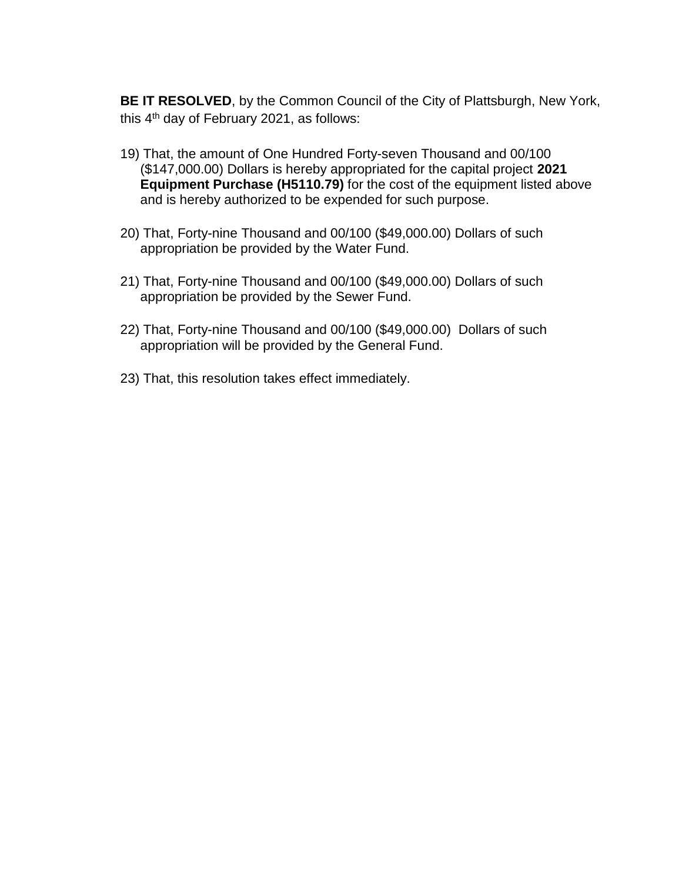**BE IT RESOLVED**, by the Common Council of the City of Plattsburgh, New York, this 4<sup>th</sup> day of February 2021, as follows:

- 19) That, the amount of One Hundred Forty-seven Thousand and 00/100 (\$147,000.00) Dollars is hereby appropriated for the capital project **2021 Equipment Purchase (H5110.79)** for the cost of the equipment listed above and is hereby authorized to be expended for such purpose.
- 20) That, Forty-nine Thousand and 00/100 (\$49,000.00) Dollars of such appropriation be provided by the Water Fund.
- 21) That, Forty-nine Thousand and 00/100 (\$49,000.00) Dollars of such appropriation be provided by the Sewer Fund.
- 22) That, Forty-nine Thousand and 00/100 (\$49,000.00) Dollars of such appropriation will be provided by the General Fund.
- 23) That, this resolution takes effect immediately.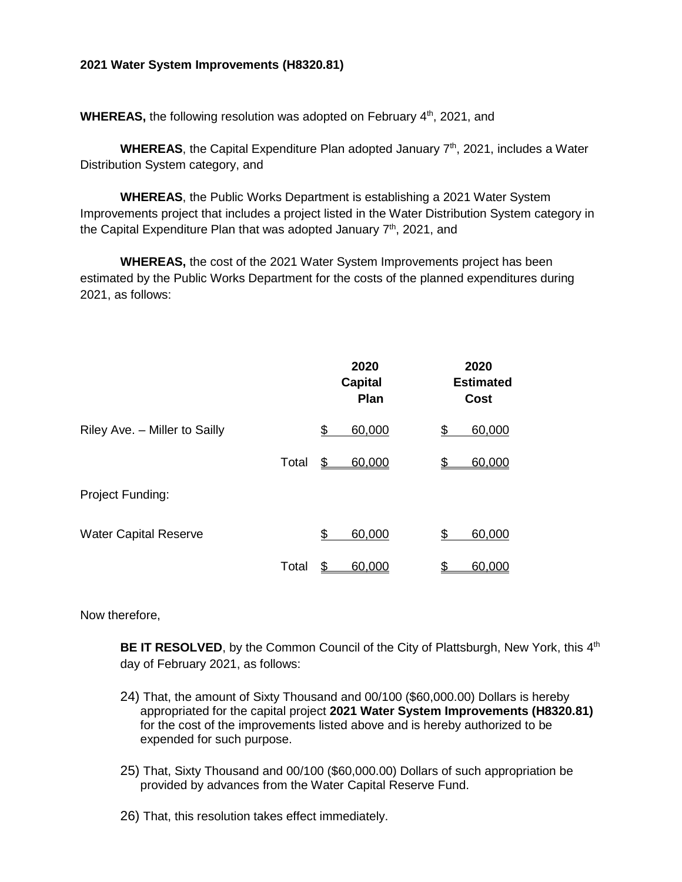#### **2021 Water System Improvements (H8320.81)**

**WHEREAS, the following resolution was adopted on February 4<sup>th</sup>, 2021, and** 

**WHEREAS**, the Capital Expenditure Plan adopted January 7<sup>th</sup>, 2021, includes a Water Distribution System category, and

**WHEREAS**, the Public Works Department is establishing a 2021 Water System Improvements project that includes a project listed in the Water Distribution System category in the Capital Expenditure Plan that was adopted January  $7<sup>th</sup>$ , 2021, and

**WHEREAS,** the cost of the 2021 Water System Improvements project has been estimated by the Public Works Department for the costs of the planned expenditures during 2021, as follows:

|                               |       | 2020<br><b>Capital</b><br>Plan | 2020<br><b>Estimated</b><br>Cost |
|-------------------------------|-------|--------------------------------|----------------------------------|
| Riley Ave. - Miller to Sailly |       | \$<br>60,000                   | \$<br>60,000                     |
|                               | Total | \$<br>60,000                   | \$<br>60,000                     |
| <b>Project Funding:</b>       |       |                                |                                  |
| <b>Water Capital Reserve</b>  |       | \$<br>60,000                   | \$<br>60,000                     |
|                               | Total | \$<br>60,000                   | \$<br>60,000                     |

Now therefore,

BE IT RESOLVED, by the Common Council of the City of Plattsburgh, New York, this 4<sup>th</sup> day of February 2021, as follows:

- 24) That, the amount of Sixty Thousand and 00/100 (\$60,000.00) Dollars is hereby appropriated for the capital project **2021 Water System Improvements (H8320.81)** for the cost of the improvements listed above and is hereby authorized to be expended for such purpose.
- 25) That, Sixty Thousand and 00/100 (\$60,000.00) Dollars of such appropriation be provided by advances from the Water Capital Reserve Fund.

26) That, this resolution takes effect immediately.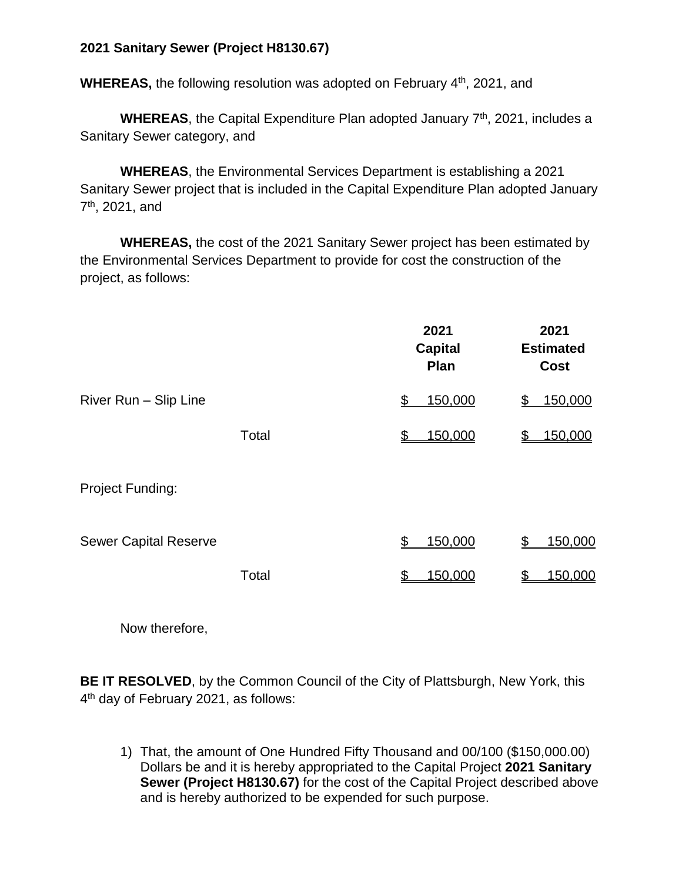## **2021 Sanitary Sewer (Project H8130.67)**

**WHEREAS, the following resolution was adopted on February 4<sup>th</sup>, 2021, and** 

WHEREAS, the Capital Expenditure Plan adopted January 7<sup>th</sup>, 2021, includes a Sanitary Sewer category, and

**WHEREAS**, the Environmental Services Department is establishing a 2021 Sanitary Sewer project that is included in the Capital Expenditure Plan adopted January 7<sup>th</sup>, 2021, and

**WHEREAS,** the cost of the 2021 Sanitary Sewer project has been estimated by the Environmental Services Department to provide for cost the construction of the project, as follows:

|                              |       | 2021<br><b>Capital</b><br><b>Plan</b> | 2021<br><b>Estimated</b><br><b>Cost</b> |
|------------------------------|-------|---------------------------------------|-----------------------------------------|
| River Run - Slip Line        |       | 150,000<br>\$                         | 150,000<br>\$                           |
|                              | Total | 150,000<br>\$                         | 150,000<br>\$                           |
| <b>Project Funding:</b>      |       |                                       |                                         |
| <b>Sewer Capital Reserve</b> |       | 150,000<br>\$                         | 150,000<br>\$                           |
|                              | Total | 150,000                               | 150,000<br>\$                           |
|                              |       |                                       |                                         |

Now therefore,

**BE IT RESOLVED**, by the Common Council of the City of Plattsburgh, New York, this 4<sup>th</sup> day of February 2021, as follows:

1) That, the amount of One Hundred Fifty Thousand and 00/100 (\$150,000.00) Dollars be and it is hereby appropriated to the Capital Project **2021 Sanitary Sewer (Project H8130.67)** for the cost of the Capital Project described above and is hereby authorized to be expended for such purpose.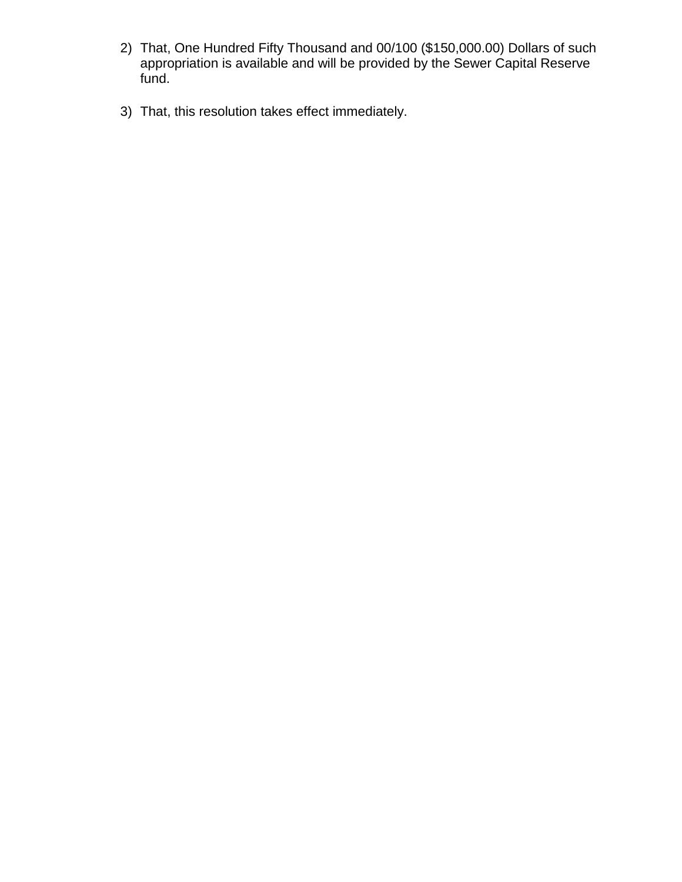- 2) That, One Hundred Fifty Thousand and 00/100 (\$150,000.00) Dollars of such appropriation is available and will be provided by the Sewer Capital Reserve fund.
- 3) That, this resolution takes effect immediately.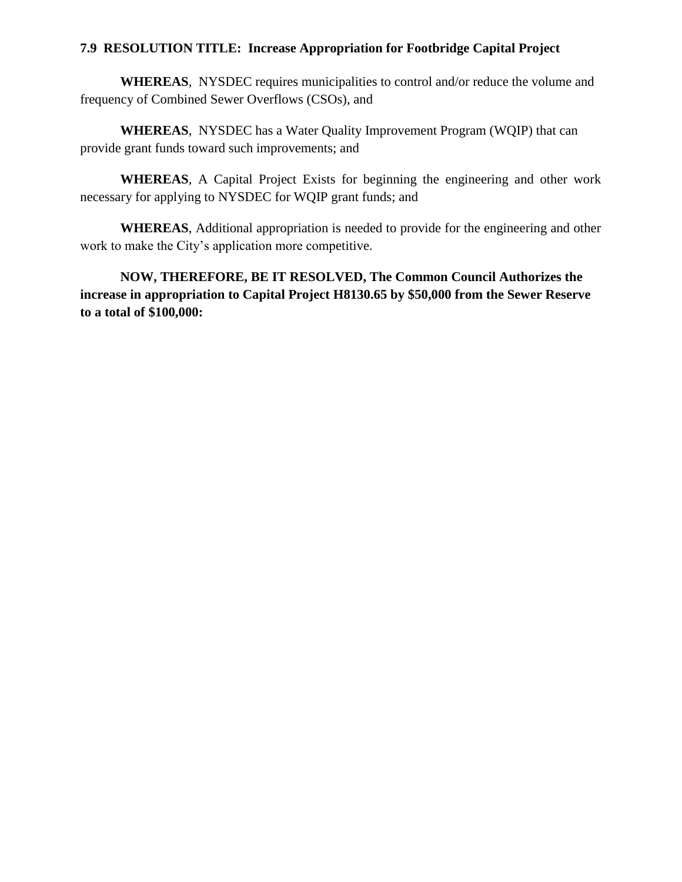#### **7.9 RESOLUTION TITLE: Increase Appropriation for Footbridge Capital Project**

**WHEREAS**, NYSDEC requires municipalities to control and/or reduce the volume and frequency of Combined Sewer Overflows (CSOs), and

**WHEREAS**, NYSDEC has a Water Quality Improvement Program (WQIP) that can provide grant funds toward such improvements; and

**WHEREAS**, A Capital Project Exists for beginning the engineering and other work necessary for applying to NYSDEC for WQIP grant funds; and

**WHEREAS**, Additional appropriation is needed to provide for the engineering and other work to make the City's application more competitive.

**NOW, THEREFORE, BE IT RESOLVED, The Common Council Authorizes the increase in appropriation to Capital Project H8130.65 by \$50,000 from the Sewer Reserve to a total of \$100,000:**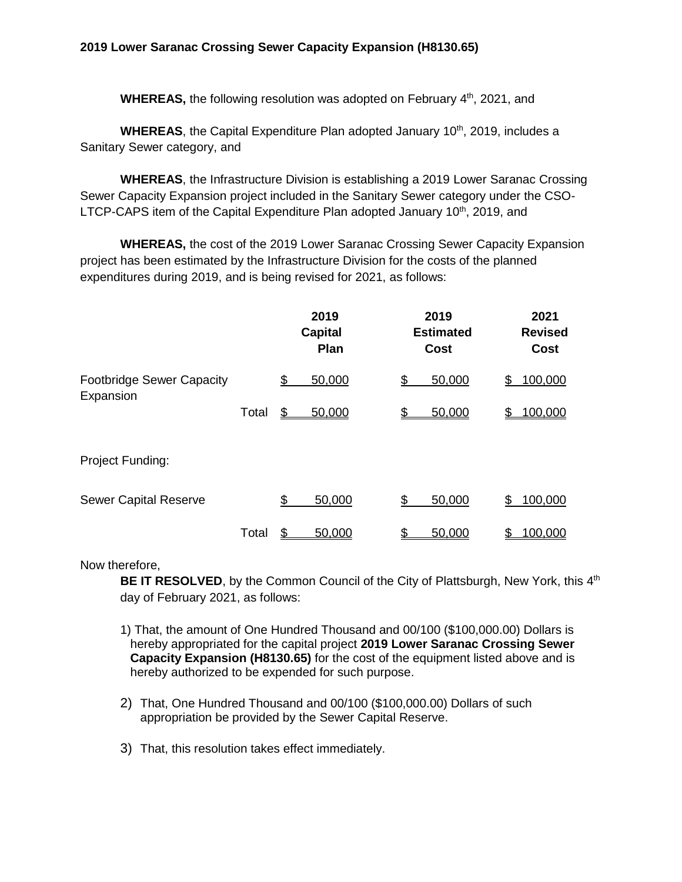**WHEREAS, the following resolution was adopted on February 4<sup>th</sup>, 2021, and** 

**WHEREAS**, the Capital Expenditure Plan adopted January 10<sup>th</sup>, 2019, includes a Sanitary Sewer category, and

**WHEREAS**, the Infrastructure Division is establishing a 2019 Lower Saranac Crossing Sewer Capacity Expansion project included in the Sanitary Sewer category under the CSO-LTCP-CAPS item of the Capital Expenditure Plan adopted January  $10<sup>th</sup>$ , 2019, and

**WHEREAS,** the cost of the 2019 Lower Saranac Crossing Sewer Capacity Expansion project has been estimated by the Infrastructure Division for the costs of the planned expenditures during 2019, and is being revised for 2021, as follows:

|                                  |       |    | 2019<br><b>Capital</b><br>Plan | 2019<br><b>Estimated</b><br><b>Cost</b> |    | 2021<br><b>Revised</b><br><b>Cost</b> |
|----------------------------------|-------|----|--------------------------------|-----------------------------------------|----|---------------------------------------|
| <b>Footbridge Sewer Capacity</b> |       | \$ | 50,000                         | 50,000<br>\$                            | \$ | 100,000                               |
| Expansion                        | Total | \$ | 50,000                         | 50,000<br>\$.                           |    | 100,000                               |
| Project Funding:                 |       |    |                                |                                         |    |                                       |
| <b>Sewer Capital Reserve</b>     |       | S  | 50,000                         | 50,000<br>\$                            | S  | 100,000                               |
|                                  | Total |    | 50,000                         | 50,000                                  |    | 100,000                               |

Now therefore,

BE IT RESOLVED, by the Common Council of the City of Plattsburgh, New York, this 4<sup>th</sup> day of February 2021, as follows:

1) That, the amount of One Hundred Thousand and 00/100 (\$100,000.00) Dollars is hereby appropriated for the capital project **2019 Lower Saranac Crossing Sewer Capacity Expansion (H8130.65)** for the cost of the equipment listed above and is hereby authorized to be expended for such purpose.

- 2) That, One Hundred Thousand and 00/100 (\$100,000.00) Dollars of such appropriation be provided by the Sewer Capital Reserve.
- 3) That, this resolution takes effect immediately.